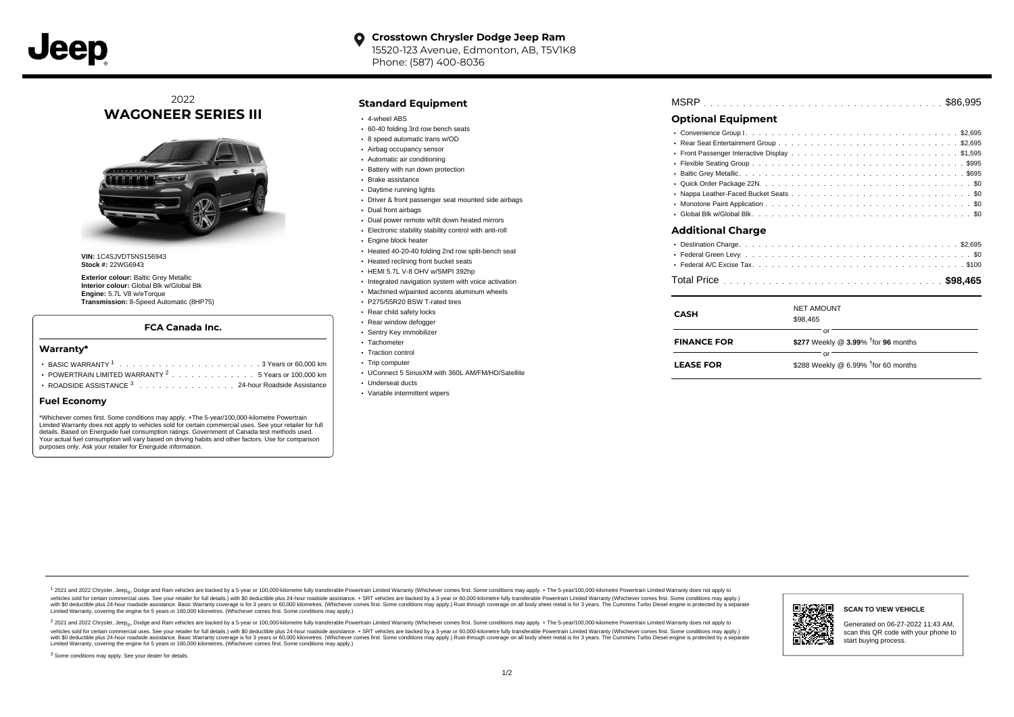

# 2022 **WAGONEER SERIES III**



**VIN:** 1C4SJVDT5NS156943 **Stock #:** 22WG6943

**Exterior colour:** Baltic Grey Metallic **Interior colour:** Global Blk w/Global Blk **Engine:** 5.7L V8 w/eTorque **Transmission:** 8-Speed Automatic (8HP75)

#### **FCA Canada Inc.**

#### **Warranty\***

- . . . . . . . . . . . . . . . . . . . . . . . . . . . . . . . . . . . . . . . . . . . \$288 Weekly @ 6.99% for 60 months BASIC WARRANTY <sup>1</sup> 3 Years or 60,000 km † POWERTRAIN LIMITED WARRANTY  $2 \ldots \ldots \ldots \ldots \ldots 5$  Years or 100,000 km
- ROADSIDE ASSISTANCE 3 . . . . . . . . . . . . . . . 24-hour Roadside Assistance

#### **Fuel Economy**

\*Whichever comes first. Some conditions may apply. +The 5-year/100,000-kilometre Powertrain Limited Warranty does not apply to vehicles sold for certain commercial uses. See your retailer for full details. Based on Energuide fuel consumption ratings. Government of Canada test methods used. Your actual fuel consumption will vary based on driving habits and other factors. Use for comparison purposes only. Ask your retailer for Energuide information.

#### **Standard Equipment**

- 4-wheel ABS
- 60-40 folding 3rd row bench seats
- 8 speed automatic trans w/OD
- Airbag occupancy sensor Automatic air conditioning
- Battery with run down protection
- 
- Brake assistance
- Daytime running lights
- Driver & front passenger seat mounted side airbags
- Dual front airbags
- Dual power remote w/tilt down heated mirrors
- Electronic stability stability control with anti-roll
- Engine block heater
- Heated 40-20-40 folding 2nd row split-bench seat
- **Heated reclining front bucket seats**
- HEMI 5.7L V-8 OHV w/SMPI 392hp
- Integrated navigation system with voice activation
- Machined w/painted accents aluminum wheels
- P275/55R20 BSW T-rated tires Rear child safety locks
- 
- Rear window defogger Sentry Key immobilizer
- Tachometer
- Traction control
- Trip computer
- UConnect 5 SiriusXM with 360L AM/FM/HD/Satellite
- Underseat ducts
- Variable intermittent wipers

| <b>MSRP</b> |  |  |  |  |  |  |  |  |  |  |  |  |  |  |  |  |  |  |  |  |  |  |  |  |  |  |  |  |  |  |  |  |  |  |  |  |  |  |  |
|-------------|--|--|--|--|--|--|--|--|--|--|--|--|--|--|--|--|--|--|--|--|--|--|--|--|--|--|--|--|--|--|--|--|--|--|--|--|--|--|--|
|-------------|--|--|--|--|--|--|--|--|--|--|--|--|--|--|--|--|--|--|--|--|--|--|--|--|--|--|--|--|--|--|--|--|--|--|--|--|--|--|--|

## **Optional Equipment**

| Additional Charge     |                |
|-----------------------|----------------|
| . Enderal Cross Louis | C <sub>0</sub> |

| CASH               | <b>NET AMOUNT</b><br>\$98,465                         |
|--------------------|-------------------------------------------------------|
| <b>FINANCE FOR</b> | or<br>\$277 Weekly @ 3.99% <sup>†</sup> for 96 months |
| <b>LEASE FOR</b>   | or<br>\$288 Weekly @ 6.99% $†$ for 60 months          |

1 2021 and 2022 Chrysler, Jeep<sub>er</sub>, Dodge and Ram vehicles are backed by a 5-year or 100,000-kilometre fully transferable Powertrain Limited Warranty (Whichever comes first. Some conditions may apply. + The 5-year/100,000rebicles sold for certain commercial uses. See your retailer for full details) with S0 deductible plus 24-hour madside assistance. + SRT vehicles are backed by a 3-year or 60.000-kilometre fully transferable Powertrain Lim ventals and contract when the contract when the contract you contract when the contract when the control of the set of a set of a set of a set of 3 years of 60,000 kilometres. Whichever comes first. Some conditions may app Limited Warranty, covering the engine for 5 years or 160,000 kilometres. (Whichever comes first. Some conditions may apply.)

2 2021 and 2022 Chrysler, Jeep<sub>es</sub> Dodge and Ram vehicles are backed by a 5-year or 100,000-kilometre fully transferable Powertrain Limited Warranty (Whichever comes first. Some conditions may apply. + The 5-year/100,000-k vehicles sold for certain commercial uses. See your retailer for full details.) with SO deductible plus 24-hour roadside assistance. + SRT vehicles are backed by a 3-year or 60.000-kilometre fully transferable Powertrain L with S0 deductible plus 24-hour roadside assistance. Basic Warranty coverage is for 3 years or 60,000 kilometres. (Whichever comes first. Some conditions may apply.) Rust-through coverage on all body sheet metal is for 3 y





Generated on 06-27-2022 11:43 AM, scan this QR code with your phone to start buying process.